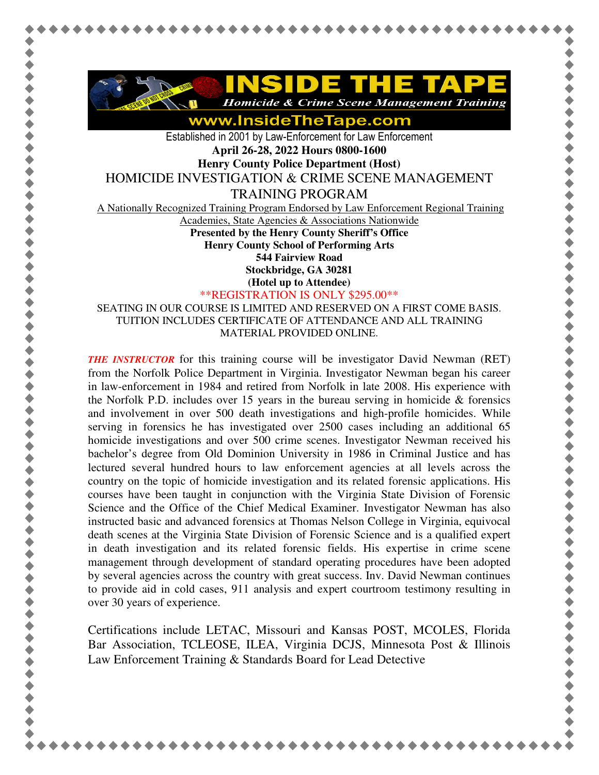

www.InsideTheTape.com

Established in 2001 by Law-Enforcement for Law Enforcement **April 26-28, 2022 Hours 0800-1600 Henry County Police Department (Host)** 

HOMICIDE INVESTIGATION & CRIME SCENE MANAGEMENT

TRAINING PROGRAM

A Nationally Recognized Training Program Endorsed by Law Enforcement Regional Training

Academies, State Agencies & Associations Nationwide

**Presented by the Henry County Sheriff's Office Henry County School of Performing Arts 544 Fairview Road** 

**Stockbridge, GA 30281** 

**(Hotel up to Attendee)**

\*\*REGISTRATION IS ONLY \$295.00\*\*

SEATING IN OUR COURSE IS LIMITED AND RESERVED ON A FIRST COME BASIS. TUITION INCLUDES CERTIFICATE OF ATTENDANCE AND ALL TRAINING MATERIAL PROVIDED ONLINE.

*THE INSTRUCTOR* for this training course will be investigator David Newman (RET) from the Norfolk Police Department in Virginia. Investigator Newman began his career in law-enforcement in 1984 and retired from Norfolk in late 2008. His experience with the Norfolk P.D. includes over 15 years in the bureau serving in homicide  $\&$  forensics and involvement in over 500 death investigations and high-profile homicides. While serving in forensics he has investigated over 2500 cases including an additional 65 homicide investigations and over 500 crime scenes. Investigator Newman received his bachelor's degree from Old Dominion University in 1986 in Criminal Justice and has lectured several hundred hours to law enforcement agencies at all levels across the country on the topic of homicide investigation and its related forensic applications. His courses have been taught in conjunction with the Virginia State Division of Forensic Science and the Office of the Chief Medical Examiner. Investigator Newman has also instructed basic and advanced forensics at Thomas Nelson College in Virginia, equivocal death scenes at the Virginia State Division of Forensic Science and is a qualified expert in death investigation and its related forensic fields. His expertise in crime scene management through development of standard operating procedures have been adopted by several agencies across the country with great success. Inv. David Newman continues to provide aid in cold cases, 911 analysis and expert courtroom testimony resulting in over 30 years of experience.

Certifications include LETAC, Missouri and Kansas POST, MCOLES, Florida Bar Association, TCLEOSE, ILEA, Virginia DCJS, Minnesota Post & Illinois Law Enforcement Training & Standards Board for Lead Detective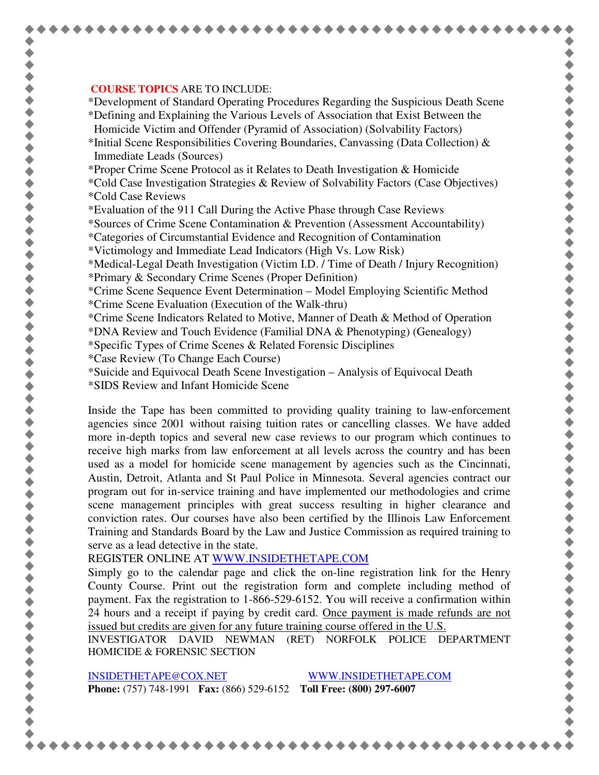## **COURSE TOPICS** ARE TO INCLUDE:

\*Development of Standard Operating Procedures Regarding the Suspicious Death Scene

\*Defining and Explaining the Various Levels of Association that Exist Between the Homicide Victim and Offender (Pyramid of Association) (Solvability Factors)

\*Initial Scene Responsibilities Covering Boundaries, Canvassing (Data Collection) & Immediate Leads (Sources)

\*Proper Crime Scene Protocol as it Relates to Death Investigation & Homicide

\*Cold Case Investigation Strategies & Review of Solvability Factors (Case Objectives) \*Cold Case Reviews

\*Evaluation of the 911 Call During the Active Phase through Case Reviews

\*Sources of Crime Scene Contamination & Prevention (Assessment Accountability)

\*Categories of Circumstantial Evidence and Recognition of Contamination

\*Victimology and Immediate Lead Indicators (High Vs. Low Risk)

\*Medical-Legal Death Investigation (Victim I.D. / Time of Death / Injury Recognition) \*Primary & Secondary Crime Scenes (Proper Definition)

\*Crime Scene Sequence Event Determination – Model Employing Scientific Method \*Crime Scene Evaluation (Execution of the Walk-thru)

\*Crime Scene Indicators Related to Motive, Manner of Death & Method of Operation

\*DNA Review and Touch Evidence (Familial DNA & Phenotyping) (Genealogy)

\*Specific Types of Crime Scenes & Related Forensic Disciplines

\*Case Review (To Change Each Course)

\*Suicide and Equivocal Death Scene Investigation – Analysis of Equivocal Death

\*SIDS Review and Infant Homicide Scene

Inside the Tape has been committed to providing quality training to law-enforcement agencies since 2001 without raising tuition rates or cancelling classes. We have added more in-depth topics and several new case reviews to our program which continues to receive high marks from law enforcement at all levels across the country and has been used as a model for homicide scene management by agencies such as the Cincinnati, Austin, Detroit, Atlanta and St Paul Police in Minnesota. Several agencies contract our program out for in-service training and have implemented our methodologies and crime scene management principles with great success resulting in higher clearance and conviction rates. Our courses have also been certified by the Illinois Law Enforcement Training and Standards Board by the Law and Justice Commission as required training to serve as a lead detective in the state.

REGISTER ONLINE AT WWW.INSIDETHETAPE.COM

Simply go to the calendar page and click the on-line registration link for the Henry County Course. Print out the registration form and complete including method of payment. Fax the registration to 1-866-529-6152. You will receive a confirmation within 24 hours and a receipt if paying by credit card. Once payment is made refunds are not issued but credits are given for any future training course offered in the U.S.

INVESTIGATOR DAVID NEWMAN (RET) NORFOLK POLICE DEPARTMENT HOMICIDE & FORENSIC SECTION

INSIDETHETAPE@COX.NET WWW.INSIDETHETAPE.COM **Phone:** (757) 748-1991 **Fax:** (866) 529-6152 **Toll Free: (800) 297-6007**